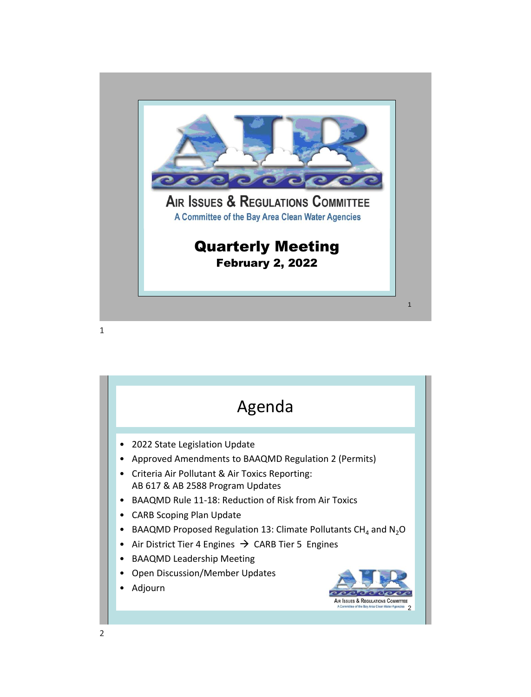



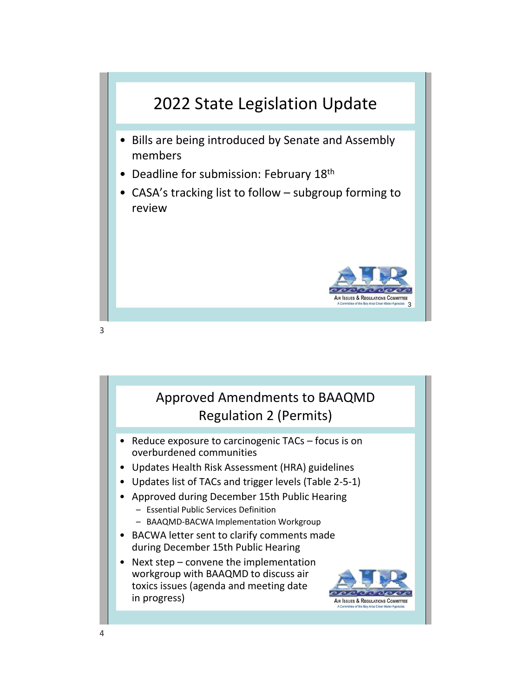

## Approved Amendments to BAAQMD Regulation 2 (Permits)

- Reduce exposure to carcinogenic TACs focus is on overburdened communities
- Updates Health Risk Assessment (HRA) guidelines
- Updates list of TACs and trigger levels (Table 2-5-1)
- Approved during December 15th Public Hearing
	- Essential Public Services Definition
	- BAAQMD-BACWA Implementation Workgroup
- BACWA letter sent to clarify comments made during December 15th Public Hearing
- Next step convene the implementation workgroup with BAAQMD to discuss air toxics issues (agenda and meeting date in progress)

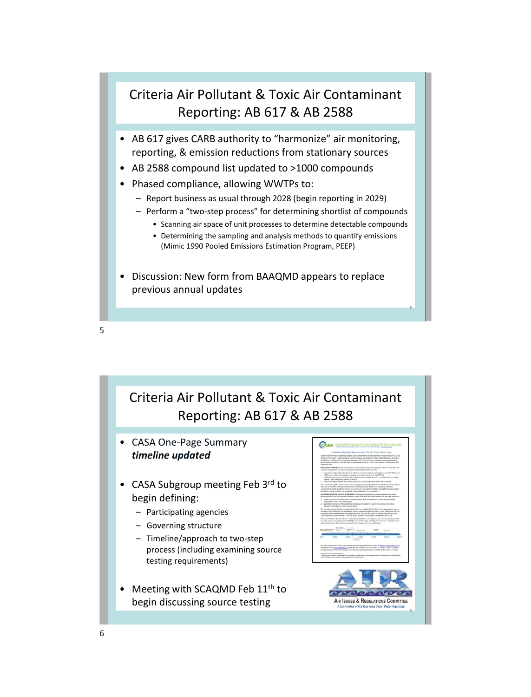## Criteria Air Pollutant & Toxic Air Contaminant Reporting: AB 617 & AB 2588

- AB 617 gives CARB authority to "harmonize" air monitoring, reporting, & emission reductions from stationary sources
- AB 2588 compound list updated to >1000 compounds
- Phased compliance, allowing WWTPs to:
	- Report business as usual through 2028 (begin reporting in 2029)
	- Perform a "two-step process" for determining shortlist of compounds
		- Scanning air space of unit processes to determine detectable compounds
			- Determining the sampling and analysis methods to quantify emissions (Mimic 1990 Pooled Emissions Estimation Program, PEEP)
- Discussion: New form from BAAQMD appears to replace previous annual updates

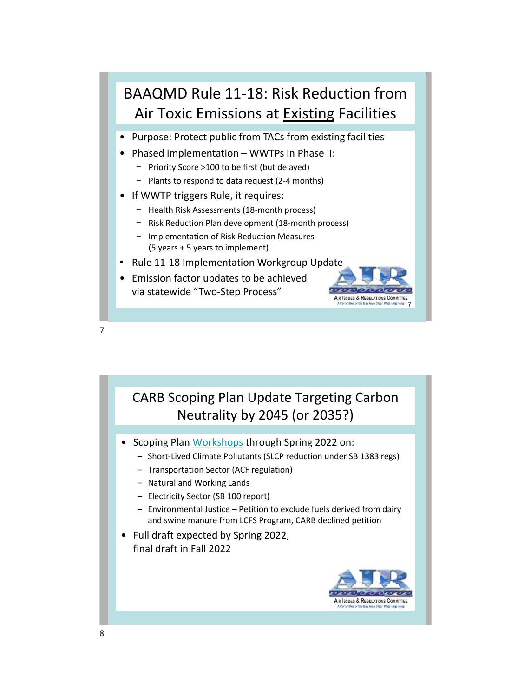

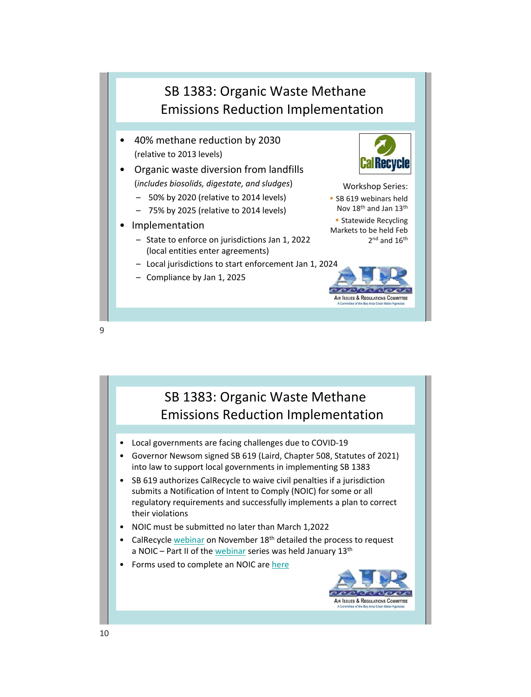

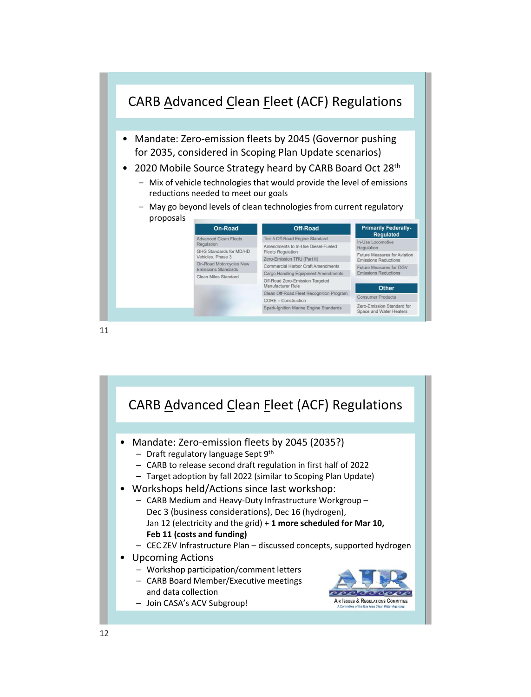

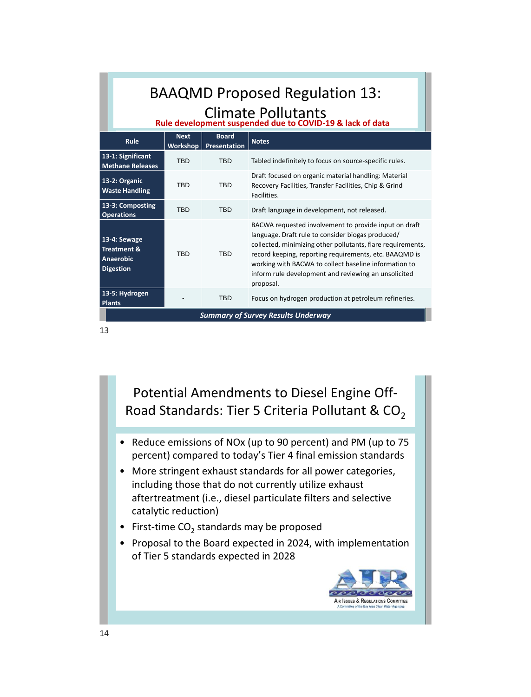| <b>BAAQMD Proposed Regulation 13:</b><br>Climate Pollutants<br>Rule development suspended due to COVID-19 & lack of data |             |                                         |                                                                                                                                                                                                                                                                                                                                                                   |
|--------------------------------------------------------------------------------------------------------------------------|-------------|-----------------------------------------|-------------------------------------------------------------------------------------------------------------------------------------------------------------------------------------------------------------------------------------------------------------------------------------------------------------------------------------------------------------------|
| Rule                                                                                                                     | <b>Next</b> | <b>Board</b><br>Workshop   Presentation | <b>Notes</b>                                                                                                                                                                                                                                                                                                                                                      |
| 13-1: Significant<br><b>Methane Releases</b>                                                                             | <b>TBD</b>  | <b>TBD</b>                              | Tabled indefinitely to focus on source-specific rules.                                                                                                                                                                                                                                                                                                            |
| 13-2: Organic<br><b>Waste Handling</b>                                                                                   | <b>TBD</b>  | <b>TBD</b>                              | Draft focused on organic material handling: Material<br>Recovery Facilities, Transfer Facilities, Chip & Grind<br>Facilities.                                                                                                                                                                                                                                     |
| 13-3: Composting<br><b>Operations</b>                                                                                    | <b>TRD</b>  | <b>TRD</b>                              | Draft language in development, not released.                                                                                                                                                                                                                                                                                                                      |
| 13-4: Sewage<br><b>Treatment &amp;</b><br><b>Anaerobic</b><br><b>Digestion</b>                                           | <b>TRD</b>  | <b>TRD</b>                              | BACWA requested involvement to provide input on draft<br>language. Draft rule to consider biogas produced/<br>collected, minimizing other pollutants, flare requirements,<br>record keeping, reporting requirements, etc. BAAQMD is<br>working with BACWA to collect baseline information to<br>inform rule development and reviewing an unsolicited<br>proposal. |
| 13-5: Hydrogen<br><b>Plants</b>                                                                                          |             | <b>TBD</b>                              | Focus on hydrogen production at petroleum refineries.                                                                                                                                                                                                                                                                                                             |
| <b>Summary of Survey Results Underway</b>                                                                                |             |                                         |                                                                                                                                                                                                                                                                                                                                                                   |

Potential Amendments to Diesel Engine Off-Road Standards: Tier 5 Criteria Pollutant &  $CO<sub>2</sub>$ 

- Reduce emissions of NOx (up to 90 percent) and PM (up to 75 percent) compared to today's Tier 4 final emission standards
- More stringent exhaust standards for all power categories, including those that do not currently utilize exhaust aftertreatment (i.e., diesel particulate filters and selective catalytic reduction)
- First-time  $CO_2$  standards may be proposed
- Proposal to the Board expected in 2024, with implementation of Tier 5 standards expected in 2028

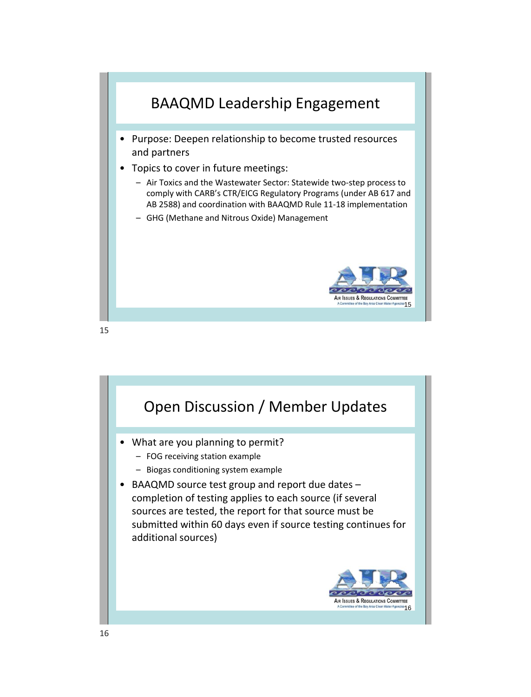